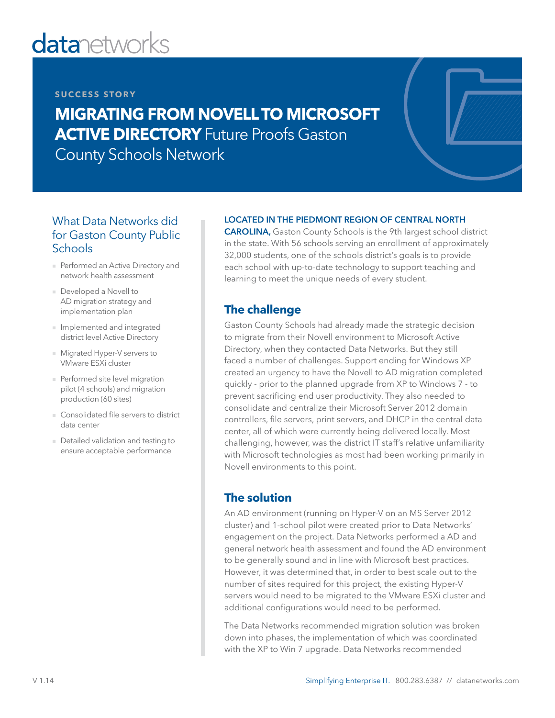# **datanetworks**

#### **SUCCESS STORY**

# **MIGRATING FROM NOVELL TO MICROSOFT ACTIVE DIRECTORY** Future Proofs Gaston County Schools Network

#### What Data Networks did for Gaston County Public **Schools**

- Performed an Active Directory and network health assessment
- Developed a Novell to AD migration strategy and implementation plan
- Implemented and integrated district level Active Directory
- Migrated Hyper-V servers to VMware ESXi cluster
- Performed site level migration pilot (4 schools) and migration production (60 sites)
- Consolidated file servers to district data center
- Detailed validation and testing to ensure acceptable performance

#### LOCATED IN THE PIEDMONT REGION OF CENTRAL NORTH

CAROLINA, Gaston County Schools is the 9th largest school district in the state. With 56 schools serving an enrollment of approximately 32,000 students, one of the schools district's goals is to provide each school with up-to-date technology to support teaching and learning to meet the unique needs of every student.

## **The challenge**

Gaston County Schools had already made the strategic decision to migrate from their Novell environment to Microsoft Active Directory, when they contacted Data Networks. But they still faced a number of challenges. Support ending for Windows XP created an urgency to have the Novell to AD migration completed quickly - prior to the planned upgrade from XP to Windows 7 - to prevent sacrificing end user productivity. They also needed to consolidate and centralize their Microsoft Server 2012 domain controllers, file servers, print servers, and DHCP in the central data center, all of which were currently being delivered locally. Most challenging, however, was the district IT staff's relative unfamiliarity with Microsoft technologies as most had been working primarily in Novell environments to this point.

### **The solution**

An AD environment (running on Hyper-V on an MS Server 2012 cluster) and 1-school pilot were created prior to Data Networks' engagement on the project. Data Networks performed a AD and general network health assessment and found the AD environment to be generally sound and in line with Microsoft best practices. However, it was determined that, in order to best scale out to the number of sites required for this project, the existing Hyper-V servers would need to be migrated to the VMware ESXi cluster and additional configurations would need to be performed.

The Data Networks recommended migration solution was broken down into phases, the implementation of which was coordinated with the XP to Win 7 upgrade. Data Networks recommended